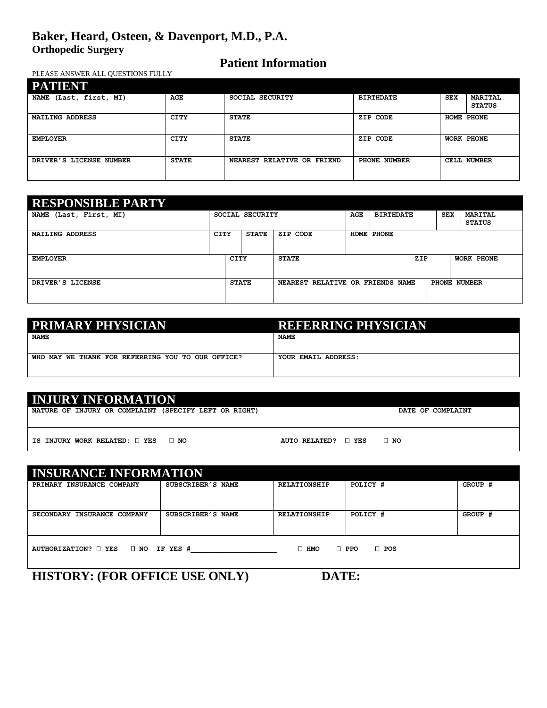# **Baker, Heard, Osteen, & Davenport, M.D., P.A. Orthopedic Surgery**

PLEASE ANSWER ALL QUESTIONS FULLY

| <b>PATIENT</b>          |              |                            |                  |            |                                 |
|-------------------------|--------------|----------------------------|------------------|------------|---------------------------------|
| NAME (Last, first, MI)  | AGE          | SOCIAL SECURITY            | <b>BIRTHDATE</b> | <b>SEX</b> | <b>MARITAL</b><br><b>STATUS</b> |
| MAILING ADDRESS         | CITY         | <b>STATE</b>               | ZIP CODE         |            | HOME PHONE                      |
| <b>EMPLOYER</b>         | CITY         | <b>STATE</b>               | ZIP CODE         |            | WORK PHONE                      |
| DRIVER'S LICENSE NUMBER | <b>STATE</b> | NEAREST RELATIVE OR FRIEND | PHONE NUMBER     |            | CELL NUMBER                     |

| <b>RESPONSIBLE PARTY</b> |      |              |                 |                                  |     |                  |     |            |                                 |
|--------------------------|------|--------------|-----------------|----------------------------------|-----|------------------|-----|------------|---------------------------------|
| NAME (Last, First, MI)   |      |              | SOCIAL SECURITY |                                  | AGE | <b>BIRTHDATE</b> |     | <b>SEX</b> | <b>MARITAL</b><br><b>STATUS</b> |
| MAILING ADDRESS          | CITY |              | <b>STATE</b>    | ZIP CODE                         |     | HOME PHONE       |     |            |                                 |
| <b>EMPLOYER</b>          |      | CITY         |                 | <b>STATE</b>                     |     |                  | ZIP |            | WORK PHONE                      |
| DRIVER'S LICENSE         |      | <b>STATE</b> |                 | NEAREST RELATIVE OR FRIENDS NAME |     |                  |     |            | PHONE NUMBER                    |

| <b>PRIMARY PHYSICIAN</b>                          | <b>REFERRING PHYSICIAN</b> |
|---------------------------------------------------|----------------------------|
| <b>NAME</b>                                       | <b>NAME</b>                |
| WHO MAY WE THANK FOR REFERRING YOU TO OUR OFFICE? | YOUR EMAIL ADDRESS:        |

| <b>INJURY INFORMATION</b>                             |                               |                   |
|-------------------------------------------------------|-------------------------------|-------------------|
| NATURE OF INJURY OR COMPLAINT (SPECIFY LEFT OR RIGHT) |                               | DATE OF COMPLAINT |
|                                                       |                               |                   |
| IS INJURY WORK RELATED: [ YES<br>$\Box$ NO            | Π YES<br>AUTO RELATED?<br>Пмо |                   |

| <b>INSURANCE INFORMATION</b>      |                   |                     |                          |         |
|-----------------------------------|-------------------|---------------------|--------------------------|---------|
| PRIMARY INSURANCE COMPANY         | SUBSCRIBER'S NAME | <b>RELATIONSHIP</b> | POLICY #                 | GROUP # |
|                                   |                   |                     |                          |         |
| SECONDARY INSURANCE COMPANY       | SUBSCRIBER'S NAME | RELATIONSHIP        | POLICY #                 | GROUP # |
|                                   |                   |                     |                          |         |
| $\Box$ NO<br>AUTHORIZATION? I YES | IF YES #          | $\Box$ HMO          | $\Box$ PPO<br>$\Box$ POS |         |

**HISTORY: (FOR OFFICE USE ONLY)** DATE: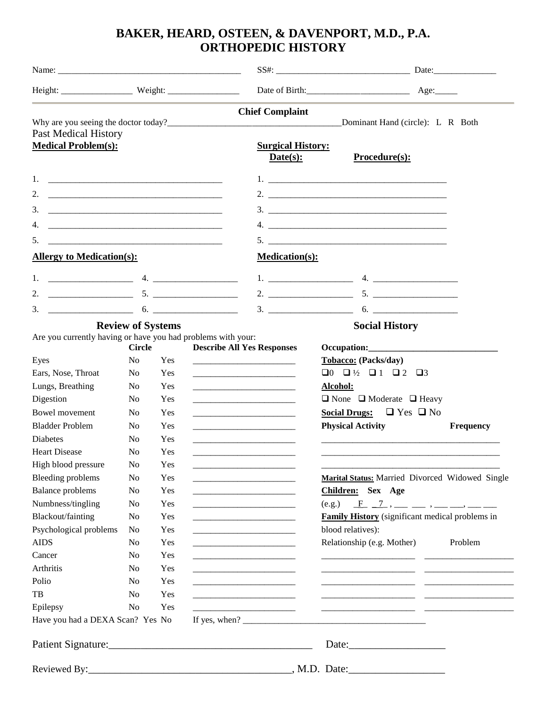## **BAKER, HEARD, OSTEEN, & DAVENPORT, M.D., P.A. ORTHOPEDIC HISTORY**

| Past Medical History<br><b>Medical Problem(s):</b>           |                |                          | <b>Chief Complaint</b><br><b>Surgical History:</b>                     | Dominant Hand (circle): L R Both                       |                  |
|--------------------------------------------------------------|----------------|--------------------------|------------------------------------------------------------------------|--------------------------------------------------------|------------------|
|                                                              |                |                          | $\mathbf{Date}(\mathbf{s})$ :                                          | Procedure(s):                                          |                  |
| 1.                                                           |                |                          |                                                                        |                                                        |                  |
| 2.                                                           |                |                          |                                                                        |                                                        |                  |
| 3.                                                           |                |                          |                                                                        |                                                        |                  |
| 4.                                                           |                |                          |                                                                        |                                                        |                  |
| 5.                                                           |                |                          |                                                                        |                                                        |                  |
| <b>Allergy to Medication(s):</b>                             |                |                          | <b>Medication(s):</b>                                                  |                                                        |                  |
| 1.                                                           |                |                          |                                                                        |                                                        |                  |
| $5.$ $5.$ $5.$<br>2.                                         |                |                          |                                                                        |                                                        |                  |
| 3.                                                           |                |                          |                                                                        |                                                        |                  |
|                                                              |                |                          |                                                                        |                                                        |                  |
| Are you currently having or have you had problems with your: |                | <b>Review of Systems</b> |                                                                        | <b>Social History</b>                                  |                  |
|                                                              | <b>Circle</b>  |                          | <b>Describe All Yes Responses</b>                                      |                                                        |                  |
| Eyes                                                         | N <sub>0</sub> | Yes                      | <u> 1989 - Johann Barbara, martin amerikan basar da</u>                | <b>Tobacco:</b> (Packs/day)                            |                  |
| Ears, Nose, Throat                                           | N <sub>0</sub> | Yes                      |                                                                        | $\Box 0$ $\Box 1/2$ $\Box 1$ $\Box 2$ $\Box 3$         |                  |
| Lungs, Breathing                                             | N <sub>0</sub> | Yes                      |                                                                        | Alcohol:                                               |                  |
| Digestion                                                    | N <sub>o</sub> | Yes                      | <u> 1980 - Jan James James Barnett, fransk politik (d. 1980)</u>       | $\Box$ None $\Box$ Moderate $\Box$ Heavy               |                  |
| Bowel movement                                               | N <sub>o</sub> | Yes                      |                                                                        | Social Drugs: $\Box$ Yes $\Box$ No                     |                  |
| <b>Bladder Problem</b>                                       | N <sub>o</sub> | Yes                      | <u> 1989 - Johann Barbara, martin da kasar Amerikaansk politiker (</u> | <b>Physical Activity</b>                               | <b>Frequency</b> |
| <b>Diabetes</b>                                              | N <sub>0</sub> | Yes                      | <u> 1989 - Johann Barbara, martin amerikan basar da</u>                |                                                        |                  |
| <b>Heart Disease</b>                                         | No             | Yes                      |                                                                        |                                                        |                  |
| High blood pressure                                          | No             | <b>Yes</b>               | <u> 1989 - Johann Barbara, martin da kasar Amerikaan kasar da</u>      |                                                        |                  |
| <b>Bleeding problems</b>                                     | No             | Yes                      |                                                                        | <b>Marital Status:</b> Married Divorced Widowed Single |                  |
| <b>Balance</b> problems                                      | No             | Yes                      |                                                                        | Children: Sex Age                                      |                  |
| Numbness/tingling                                            | N <sub>0</sub> | Yes                      |                                                                        |                                                        |                  |
| Blackout/fainting                                            | N <sub>o</sub> | Yes                      |                                                                        | <b>Family History</b> (significant medical problems in |                  |
| Psychological problems                                       | No             | Yes                      |                                                                        | blood relatives):                                      |                  |
| <b>AIDS</b>                                                  | No             | Yes                      |                                                                        | Relationship (e.g. Mother)                             | Problem          |
| Cancer                                                       | No             | Yes                      |                                                                        |                                                        |                  |
| Arthritis                                                    | N <sub>0</sub> | Yes                      |                                                                        |                                                        |                  |
| Polio                                                        | No             | Yes                      |                                                                        |                                                        |                  |
| TB                                                           | N <sub>o</sub> | Yes                      |                                                                        |                                                        |                  |
| Epilepsy                                                     | No             | Yes                      |                                                                        |                                                        |                  |
| Have you had a DEXA Scan? Yes No                             |                |                          |                                                                        |                                                        |                  |
|                                                              |                |                          |                                                                        |                                                        |                  |
|                                                              |                |                          |                                                                        |                                                        |                  |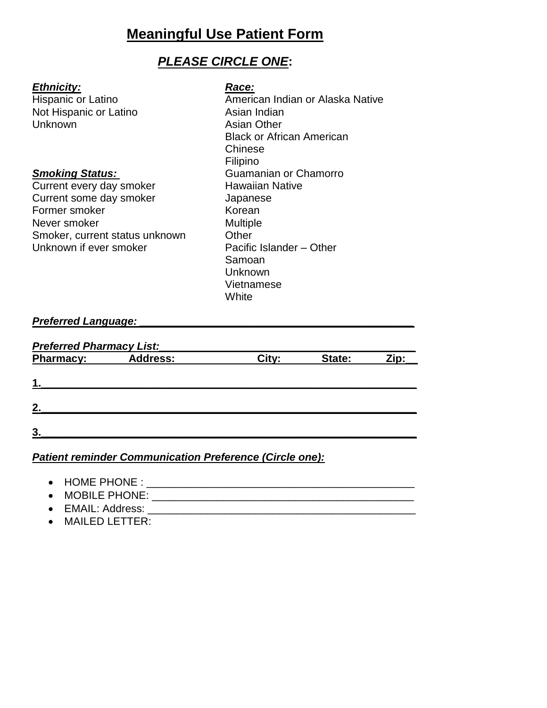# **Meaningful Use Patient Form**

# *PLEASE CIRCLE ONE***:**

#### *Ethnicity: Race:*

| Hispanic or Latino     |  |
|------------------------|--|
| Not Hispanic or Latino |  |
| Unknown                |  |

| Current every day smoker       |
|--------------------------------|
| Current some day smoker        |
| Former smoker                  |
| Never smoker                   |
| Smoker, current status unknown |
| Unknown if ever smoker         |
|                                |

American Indian or Alaska Native Asian Indian Asian Other Black or African American Chinese Filipino **Smoking Status: Guamanian or Chamorro** Hawaiian Native Japanese Korean **Multiple** Other Pacific Islander – Other Samoan

## *Preferred Language: \_\_\_\_\_\_\_\_\_\_\_\_\_\_\_\_\_\_\_\_\_\_\_\_\_\_\_\_\_\_\_\_\_\_\_\_\_\_\_\_\_\_\_\_\_\_*

#### **Preferred Pharmacy List:** <u>and</u> the contract of the contract of the contract of the contract of the contract of the contract of the contract of the contract of the contract of the contract of the contract of the contract

| <b>Pharmacy:</b> | <b>Address:</b> | ıtv. | state. | Zip? |
|------------------|-----------------|------|--------|------|
|                  |                 |      |        |      |

Unknown Vietnamese

**White** 

| G     |  |  |  |
|-------|--|--|--|
| ∍<br> |  |  |  |

#### *Patient reminder Communication Preference (Circle one):*

- HOME PHONE : \_\_\_\_\_\_\_\_\_\_\_\_\_\_\_\_\_\_\_\_\_\_\_\_\_\_\_\_\_\_\_\_\_\_\_\_\_\_\_\_\_\_\_\_\_
- MOBILE PHONE: \_\_\_\_\_\_\_\_\_\_\_\_\_\_\_\_\_\_\_\_\_\_\_\_\_\_\_\_\_\_\_\_\_\_\_\_\_\_\_\_\_\_\_\_
- $\bullet$  EMAIL: Address:  $\bullet$
- MAILED LETTER: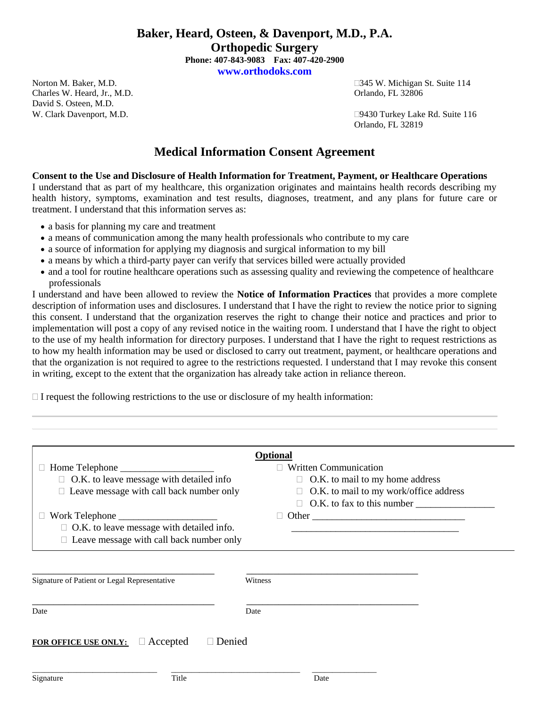### **Baker, Heard, Osteen, & Davenport, M.D., P.A. Orthopedic Surgery Phone: 407-843-9083 Fax: 407-420-2900**

**www.orthodoks.com**

Charles W. Heard, Jr., M.D. Orlando, FL 32806 David S. Osteen, M.D.

Norton M. Baker, M.D. 345 W. Michigan St. Suite 114

W. Clark Davenport, M.D. 6. The Suite 110 Section 12, 19430 Turkey Lake Rd. Suite 116 Orlando, FL 32819

## **Medical Information Consent Agreement**

**Consent to the Use and Disclosure of Health Information for Treatment, Payment, or Healthcare Operations** I understand that as part of my healthcare, this organization originates and maintains health records describing my health history, symptoms, examination and test results, diagnoses, treatment, and any plans for future care or

• a basis for planning my care and treatment

treatment. I understand that this information serves as:

- a means of communication among the many health professionals who contribute to my care
- a source of information for applying my diagnosis and surgical information to my bill
- a means by which a third-party payer can verify that services billed were actually provided
- and a tool for routine healthcare operations such as assessing quality and reviewing the competence of healthcare professionals

I understand and have been allowed to review the **Notice of Information Practices** that provides a more complete description of information uses and disclosures. I understand that I have the right to review the notice prior to signing this consent. I understand that the organization reserves the right to change their notice and practices and prior to implementation will post a copy of any revised notice in the waiting room. I understand that I have the right to object to the use of my health information for directory purposes. I understand that I have the right to request restrictions as to how my health information may be used or disclosed to carry out treatment, payment, or healthcare operations and that the organization is not required to agree to the restrictions requested. I understand that I may revoke this consent in writing, except to the extent that the organization has already take action in reliance thereon.

 $\Box$  I request the following restrictions to the use or disclosure of my health information:

|                                                          | <b>Optional</b>                               |
|----------------------------------------------------------|-----------------------------------------------|
|                                                          | <b>Written Communication</b><br>n.            |
| O.K. to leave message with detailed info                 | $\Box$ O.K. to mail to my home address        |
| $\Box$ Leave message with call back number only          | $\Box$ O.K. to mail to my work/office address |
|                                                          | $\Box$ O.K. to fax to this number $\Box$      |
| Work Telephone                                           | $\Box$                                        |
| $\Box$ O.K. to leave message with detailed info.         |                                               |
| $\Box$ Leave message with call back number only          |                                               |
| Signature of Patient or Legal Representative             | Witness                                       |
| Date                                                     | Date                                          |
| Denied<br>$\Box$ Accepted<br><b>FOR OFFICE USE ONLY:</b> |                                               |
| Title<br>Signature                                       | Date                                          |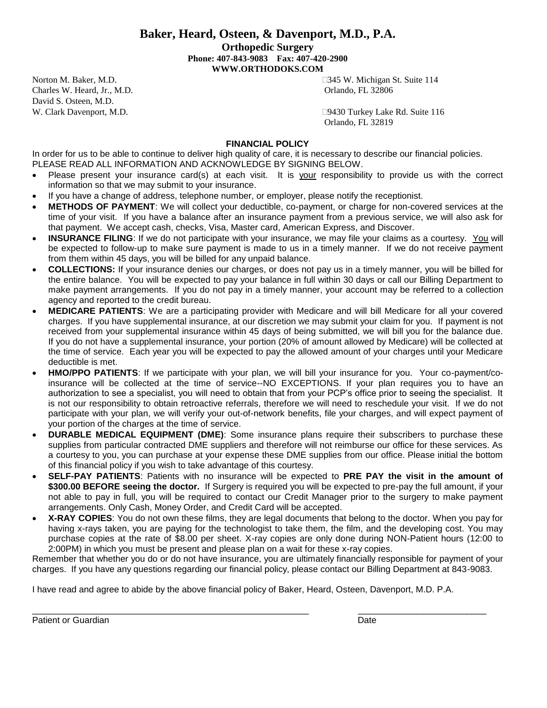## **Baker, Heard, Osteen, & Davenport, M.D., P.A.**

**Orthopedic Surgery**

**Phone: 407-843-9083 Fax: 407-420-2900 WWW.ORTHODOKS.COM**

Charles W. Heard, Jr., M.D. Orlando, FL 32806 David S. Osteen, M.D.

Norton M. Baker, M.D. 345 W. Michigan St. Suite 114

W. Clark Davenport, M.D. 6. The Suite 116 Suite 116 Suite 116 Orlando, FL 32819

#### **FINANCIAL POLICY**

In order for us to be able to continue to deliver high quality of care, it is necessary to describe our financial policies. PLEASE READ ALL INFORMATION AND ACKNOWLEDGE BY SIGNING BELOW.

- Please present your insurance card(s) at each visit. It is your responsibility to provide us with the correct information so that we may submit to your insurance.
- If you have a change of address, telephone number, or employer, please notify the receptionist.
- **METHODS OF PAYMENT**: We will collect your deductible, co-payment, or charge for non-covered services at the time of your visit. If you have a balance after an insurance payment from a previous service, we will also ask for that payment. We accept cash, checks, Visa, Master card, American Express, and Discover.
- **INSURANCE FILING**: If we do not participate with your insurance, we may file your claims as a courtesy. You will be expected to follow-up to make sure payment is made to us in a timely manner. If we do not receive payment from them within 45 days, you will be billed for any unpaid balance.
- **COLLECTIONS:** If your insurance denies our charges, or does not pay us in a timely manner, you will be billed for the entire balance. You will be expected to pay your balance in full within 30 days or call our Billing Department to make payment arrangements. If you do not pay in a timely manner, your account may be referred to a collection agency and reported to the credit bureau.
- **MEDICARE PATIENTS**: We are a participating provider with Medicare and will bill Medicare for all your covered charges. If you have supplemental insurance, at our discretion we may submit your claim for you. If payment is not received from your supplemental insurance within 45 days of being submitted, we will bill you for the balance due. If you do not have a supplemental insurance, your portion (20% of amount allowed by Medicare) will be collected at the time of service. Each year you will be expected to pay the allowed amount of your charges until your Medicare deductible is met.
- **HMO/PPO PATIENTS**: If we participate with your plan, we will bill your insurance for you. Your co-payment/coinsurance will be collected at the time of service--NO EXCEPTIONS. If your plan requires you to have an authorization to see a specialist, you will need to obtain that from your PCP's office prior to seeing the specialist. It is not our responsibility to obtain retroactive referrals, therefore we will need to reschedule your visit. If we do not participate with your plan, we will verify your out-of-network benefits, file your charges, and will expect payment of your portion of the charges at the time of service.
- **DURABLE MEDICAL EQUIPMENT (DME)**: Some insurance plans require their subscribers to purchase these supplies from particular contracted DME suppliers and therefore will not reimburse our office for these services. As a courtesy to you, you can purchase at your expense these DME supplies from our office. Please initial the bottom of this financial policy if you wish to take advantage of this courtesy.
- **SELF-PAY PATIENTS**: Patients with no insurance will be expected to **PRE PAY the visit in the amount of \$300.00 BEFORE seeing the doctor.** If Surgery is required you will be expected to pre-pay the full amount, if your not able to pay in full, you will be required to contact our Credit Manager prior to the surgery to make payment arrangements. Only Cash, Money Order, and Credit Card will be accepted.
- **X-RAY COPIES**: You do not own these films, they are legal documents that belong to the doctor. When you pay for having x-rays taken, you are paying for the technologist to take them, the film, and the developing cost. You may purchase copies at the rate of \$8.00 per sheet. X-ray copies are only done during NON-Patient hours (12:00 to 2:00PM) in which you must be present and please plan on a wait for these x-ray copies.

Remember that whether you do or do not have insurance, you are ultimately financially responsible for payment of your charges. If you have any questions regarding our financial policy, please contact our Billing Department at 843-9083.

\_\_\_\_\_\_\_\_\_\_\_\_\_\_\_\_\_\_\_\_\_\_\_\_\_\_\_\_\_\_\_\_\_\_\_\_\_\_\_\_\_\_\_\_\_\_\_\_\_\_\_\_\_\_\_\_ \_\_\_\_\_\_\_\_\_\_\_\_\_\_\_\_\_\_\_\_\_\_\_\_\_\_

I have read and agree to abide by the above financial policy of Baker, Heard, Osteen, Davenport, M.D. P.A.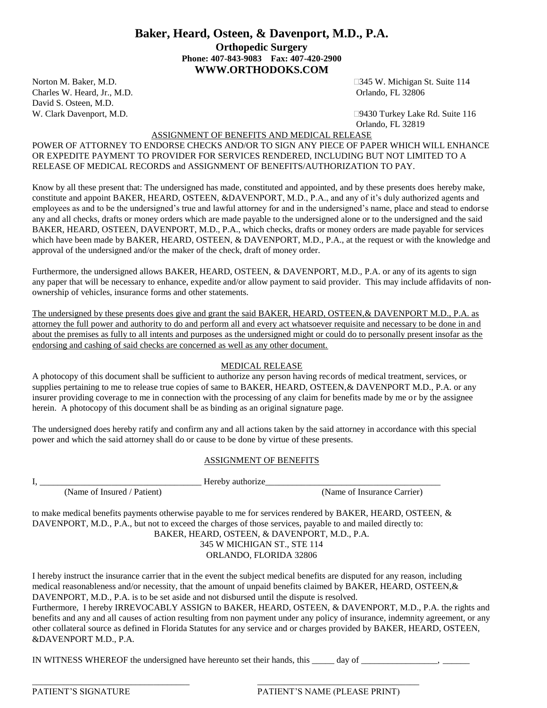#### **Baker, Heard, Osteen, & Davenport, M.D., P.A. Orthopedic Surgery Phone: 407-843-9083 Fax: 407-420-2900 WWW.ORTHODOKS.COM**

Charles W. Heard, Jr., M.D. Orlando, FL 32806 David S. Osteen, M.D.

Norton M. Baker, M.D. 345 W. Michigan St. Suite 114

W. Clark Davenport, M.D. 6. The State Rd. Suite 116 Orlando, FL 32819

#### ASSIGNMENT OF BENEFITS AND MEDICAL RELEASE

POWER OF ATTORNEY TO ENDORSE CHECKS AND/OR TO SIGN ANY PIECE OF PAPER WHICH WILL ENHANCE OR EXPEDITE PAYMENT TO PROVIDER FOR SERVICES RENDERED, INCLUDING BUT NOT LIMITED TO A RELEASE OF MEDICAL RECORDS and ASSIGNMENT OF BENEFITS/AUTHORIZATION TO PAY.

Know by all these present that: The undersigned has made, constituted and appointed, and by these presents does hereby make, constitute and appoint BAKER, HEARD, OSTEEN, &DAVENPORT, M.D., P.A., and any of it's duly authorized agents and employees as and to be the undersigned's true and lawful attorney for and in the undersigned's name, place and stead to endorse any and all checks, drafts or money orders which are made payable to the undersigned alone or to the undersigned and the said BAKER, HEARD, OSTEEN, DAVENPORT, M.D., P.A., which checks, drafts or money orders are made payable for services which have been made by BAKER, HEARD, OSTEEN, & DAVENPORT, M.D., P.A., at the request or with the knowledge and approval of the undersigned and/or the maker of the check, draft of money order.

Furthermore, the undersigned allows BAKER, HEARD, OSTEEN, & DAVENPORT, M.D., P.A. or any of its agents to sign any paper that will be necessary to enhance, expedite and/or allow payment to said provider. This may include affidavits of nonownership of vehicles, insurance forms and other statements.

The undersigned by these presents does give and grant the said BAKER, HEARD, OSTEEN,& DAVENPORT M.D., P.A. as attorney the full power and authority to do and perform all and every act whatsoever requisite and necessary to be done in and about the premises as fully to all intents and purposes as the undersigned might or could do to personally present insofar as the endorsing and cashing of said checks are concerned as well as any other document.

#### MEDICAL RELEASE

A photocopy of this document shall be sufficient to authorize any person having records of medical treatment, services, or supplies pertaining to me to release true copies of same to BAKER, HEARD, OSTEEN, & DAVENPORT M.D., P.A. or any insurer providing coverage to me in connection with the processing of any claim for benefits made by me or by the assignee herein. A photocopy of this document shall be as binding as an original signature page.

The undersigned does hereby ratify and confirm any and all actions taken by the said attorney in accordance with this special power and which the said attorney shall do or cause to be done by virtue of these presents.

#### ASSIGNMENT OF BENEFITS

I, \_\_\_\_\_\_\_\_\_\_\_\_\_\_\_\_\_\_\_\_\_\_\_\_\_\_\_\_\_\_\_\_\_\_\_\_ Hereby authorize\_\_\_\_\_\_\_\_\_\_\_\_\_\_\_\_\_\_\_\_\_\_\_\_\_\_\_\_\_\_\_\_\_\_\_\_\_\_\_

(Name of Insurance Carrier)

to make medical benefits payments otherwise payable to me for services rendered by BAKER, HEARD, OSTEEN, & DAVENPORT, M.D., P.A., but not to exceed the charges of those services, payable to and mailed directly to: BAKER, HEARD, OSTEEN, & DAVENPORT, M.D., P.A.

> 345 W MICHIGAN ST., STE 114 ORLANDO, FLORIDA 32806

I hereby instruct the insurance carrier that in the event the subject medical benefits are disputed for any reason, including medical reasonableness and/or necessity, that the amount of unpaid benefits claimed by BAKER, HEARD, OSTEEN,& DAVENPORT, M.D., P.A. is to be set aside and not disbursed until the dispute is resolved.

Furthermore, I hereby IRREVOCABLY ASSIGN to BAKER, HEARD, OSTEEN, & DAVENPORT, M.D., P.A. the rights and benefits and any and all causes of action resulting from non payment under any policy of insurance, indemnity agreement, or any other collateral source as defined in Florida Statutes for any service and or charges provided by BAKER, HEARD, OSTEEN, &DAVENPORT M.D., P.A.

IN WITNESS WHEREOF the undersigned have hereunto set their hands, this day of  $\qquad \qquad$ ,

\_\_\_\_\_\_\_\_\_\_\_\_\_\_\_\_\_\_\_\_\_\_\_\_\_\_\_\_\_\_\_\_\_\_\_ \_\_\_\_\_\_\_\_\_\_\_\_\_\_\_\_\_\_\_\_\_\_\_\_\_\_\_\_\_\_\_\_\_\_\_\_

PATIENT'S SIGNATURE PATIENT'S NAME (PLEASE PRINT)